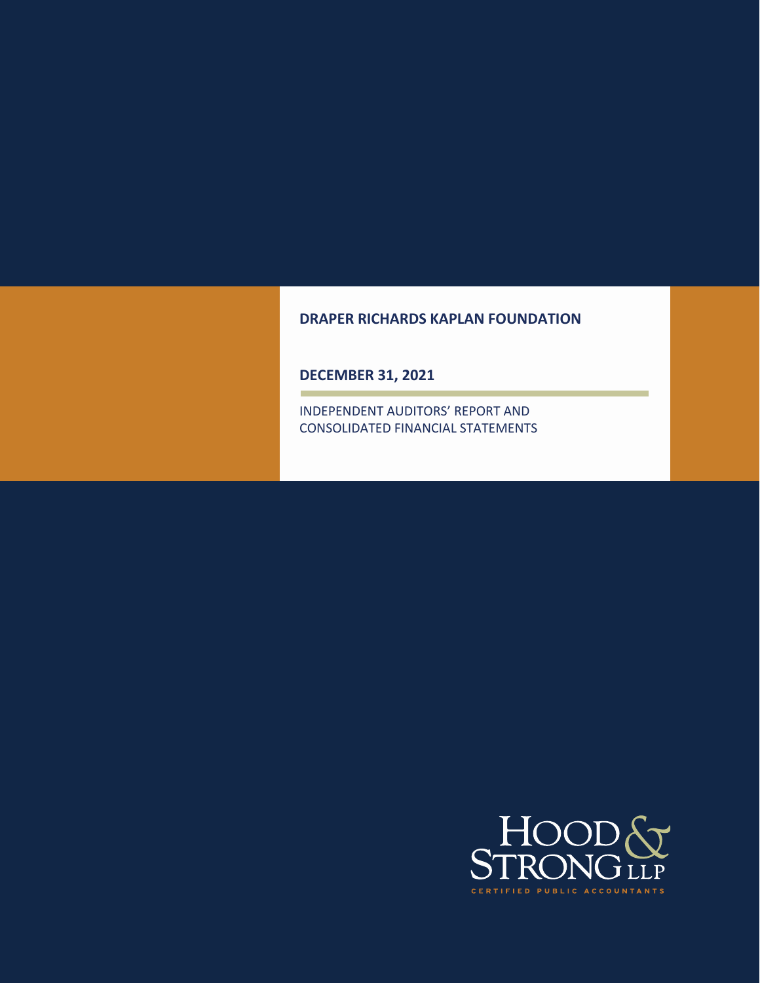#### **DRAPER RICHARDS KAPLAN FOUNDATION**

**DECEMBER 31, 2021**

INDEPENDENT AUDITORS' REPORT AND CONSOLIDATED FINANCIAL STATEMENTS

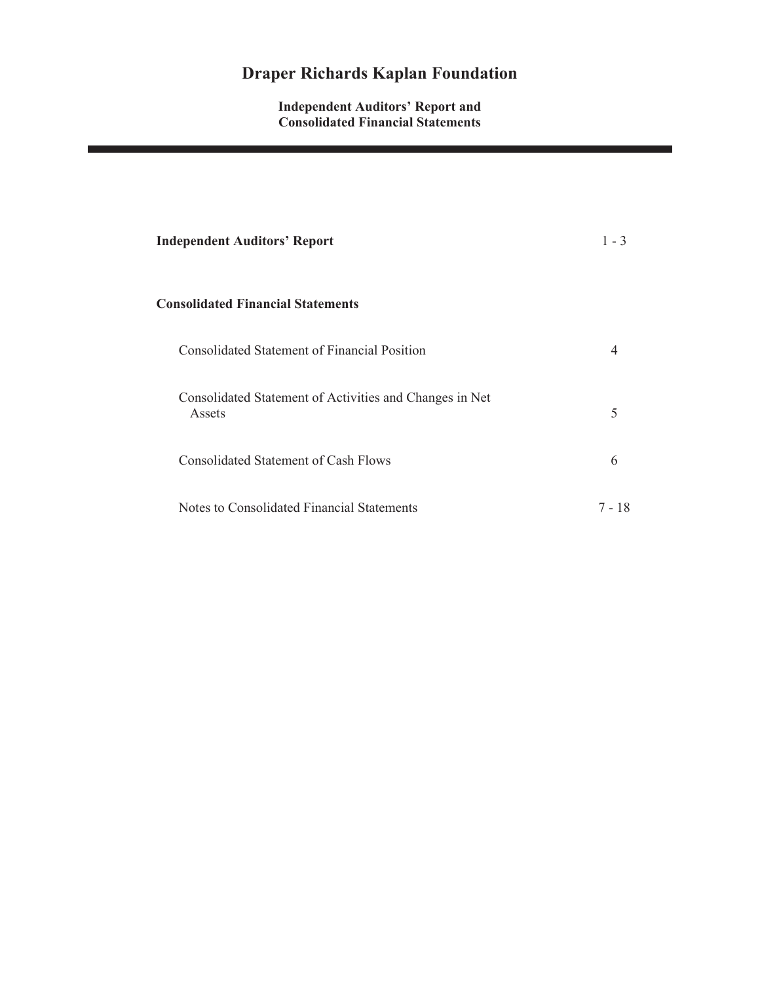**Independent Auditors' Report and Consolidated Financial Statements** 

| <b>Independent Auditors' Report</b>                               | $1 - 3$     |
|-------------------------------------------------------------------|-------------|
| <b>Consolidated Financial Statements</b>                          |             |
| <b>Consolidated Statement of Financial Position</b>               | 4           |
| Consolidated Statement of Activities and Changes in Net<br>Assets | 5           |
| <b>Consolidated Statement of Cash Flows</b>                       | 6           |
| Notes to Consolidated Financial Statements                        | 18<br>$7 -$ |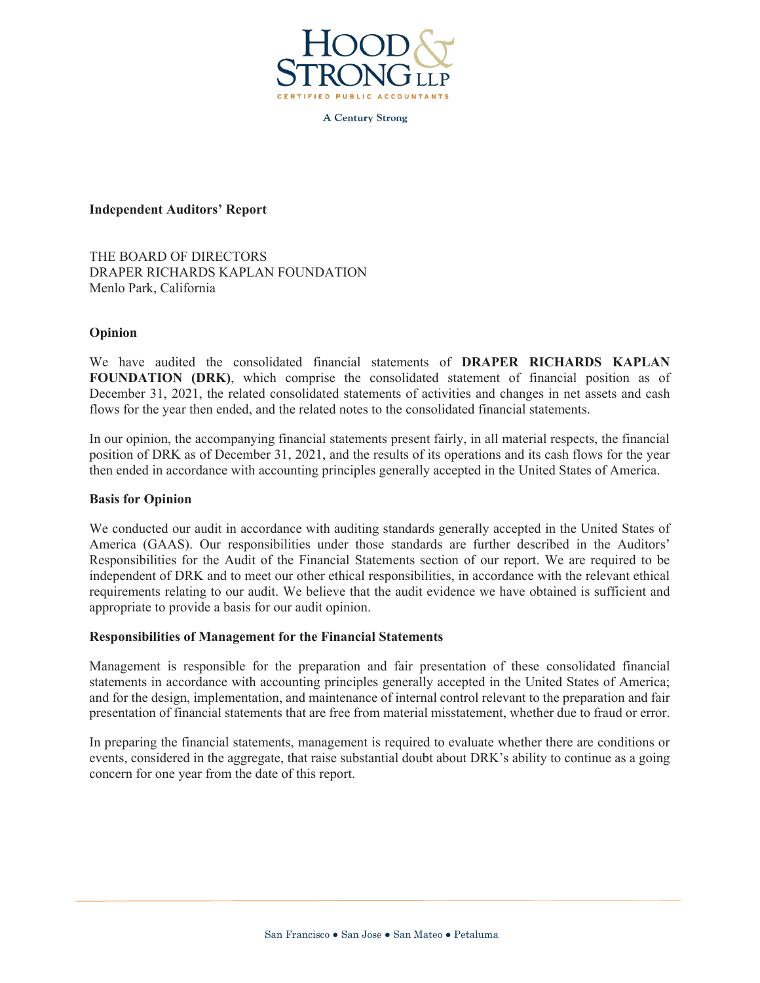

**A Century Strong** 

**Independent Auditors' Report** 

THE BOARD OF DIRECTORS DRAPER RICHARDS KAPLAN FOUNDATION Menlo Park, California

#### **Opinion**

We have audited the consolidated financial statements of **DRAPER RICHARDS KAPLAN FOUNDATION (DRK)**, which comprise the consolidated statement of financial position as of December 31, 2021, the related consolidated statements of activities and changes in net assets and cash flows for the year then ended, and the related notes to the consolidated financial statements.

In our opinion, the accompanying financial statements present fairly, in all material respects, the financial position of DRK as of December 31, 2021, and the results of its operations and its cash flows for the year then ended in accordance with accounting principles generally accepted in the United States of America.

#### **Basis for Opinion**

We conducted our audit in accordance with auditing standards generally accepted in the United States of America (GAAS). Our responsibilities under those standards are further described in the Auditors' Responsibilities for the Audit of the Financial Statements section of our report. We are required to be independent of DRK and to meet our other ethical responsibilities, in accordance with the relevant ethical requirements relating to our audit. We believe that the audit evidence we have obtained is sufficient and appropriate to provide a basis for our audit opinion.

#### **Responsibilities of Management for the Financial Statements**

Management is responsible for the preparation and fair presentation of these consolidated financial statements in accordance with accounting principles generally accepted in the United States of America; and for the design, implementation, and maintenance of internal control relevant to the preparation and fair presentation of financial statements that are free from material misstatement, whether due to fraud or error.

In preparing the financial statements, management is required to evaluate whether there are conditions or events, considered in the aggregate, that raise substantial doubt about DRK's ability to continue as a going concern for one year from the date of this report.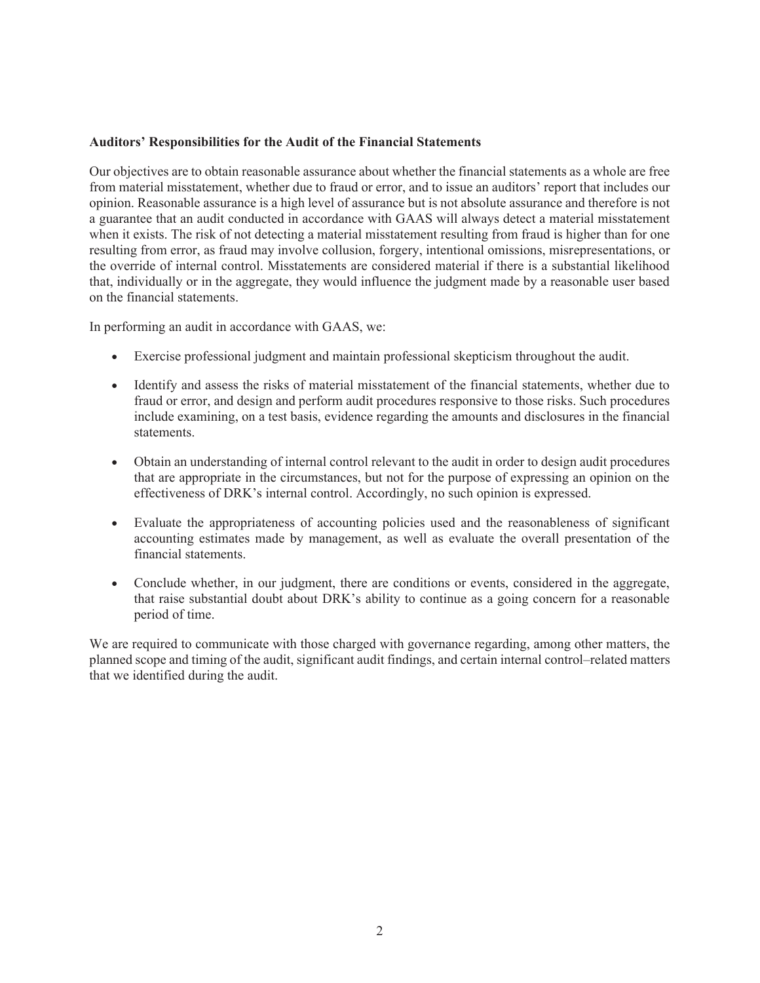#### **Auditors' Responsibilities for the Audit of the Financial Statements**

Our objectives are to obtain reasonable assurance about whether the financial statements as a whole are free from material misstatement, whether due to fraud or error, and to issue an auditors' report that includes our opinion. Reasonable assurance is a high level of assurance but is not absolute assurance and therefore is not a guarantee that an audit conducted in accordance with GAAS will always detect a material misstatement when it exists. The risk of not detecting a material misstatement resulting from fraud is higher than for one resulting from error, as fraud may involve collusion, forgery, intentional omissions, misrepresentations, or the override of internal control. Misstatements are considered material if there is a substantial likelihood that, individually or in the aggregate, they would influence the judgment made by a reasonable user based on the financial statements.

In performing an audit in accordance with GAAS, we:

- Exercise professional judgment and maintain professional skepticism throughout the audit.
- Identify and assess the risks of material misstatement of the financial statements, whether due to fraud or error, and design and perform audit procedures responsive to those risks. Such procedures include examining, on a test basis, evidence regarding the amounts and disclosures in the financial statements.
- Obtain an understanding of internal control relevant to the audit in order to design audit procedures that are appropriate in the circumstances, but not for the purpose of expressing an opinion on the effectiveness of DRK's internal control. Accordingly, no such opinion is expressed.
- Evaluate the appropriateness of accounting policies used and the reasonableness of significant accounting estimates made by management, as well as evaluate the overall presentation of the financial statements.
- Conclude whether, in our judgment, there are conditions or events, considered in the aggregate, that raise substantial doubt about DRK's ability to continue as a going concern for a reasonable period of time.

We are required to communicate with those charged with governance regarding, among other matters, the planned scope and timing of the audit, significant audit findings, and certain internal control–related matters that we identified during the audit.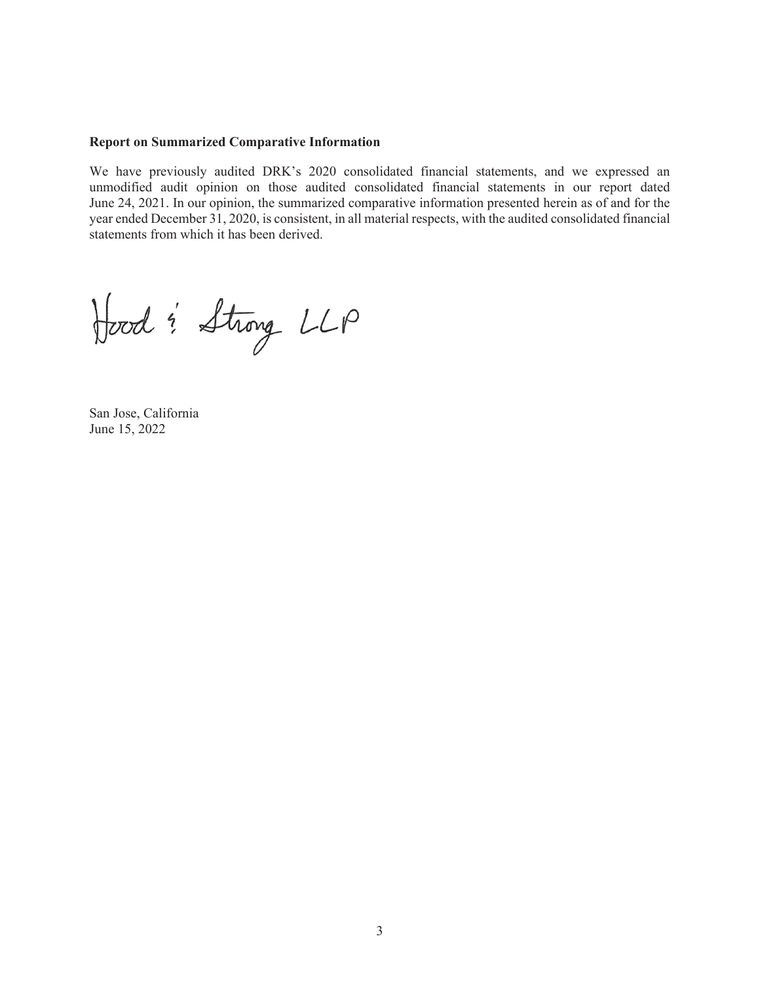#### **Report on Summarized Comparative Information**

We have previously audited DRK's 2020 consolidated financial statements, and we expressed an unmodified audit opinion on those audited consolidated financial statements in our report dated June 24, 2021. In our opinion, the summarized comparative information presented herein as of and for the year ended December 31, 2020, is consistent, in all material respects, with the audited consolidated financial statements from which it has been derived.

Hood & Strong LLP

San Jose, California June 15, 2022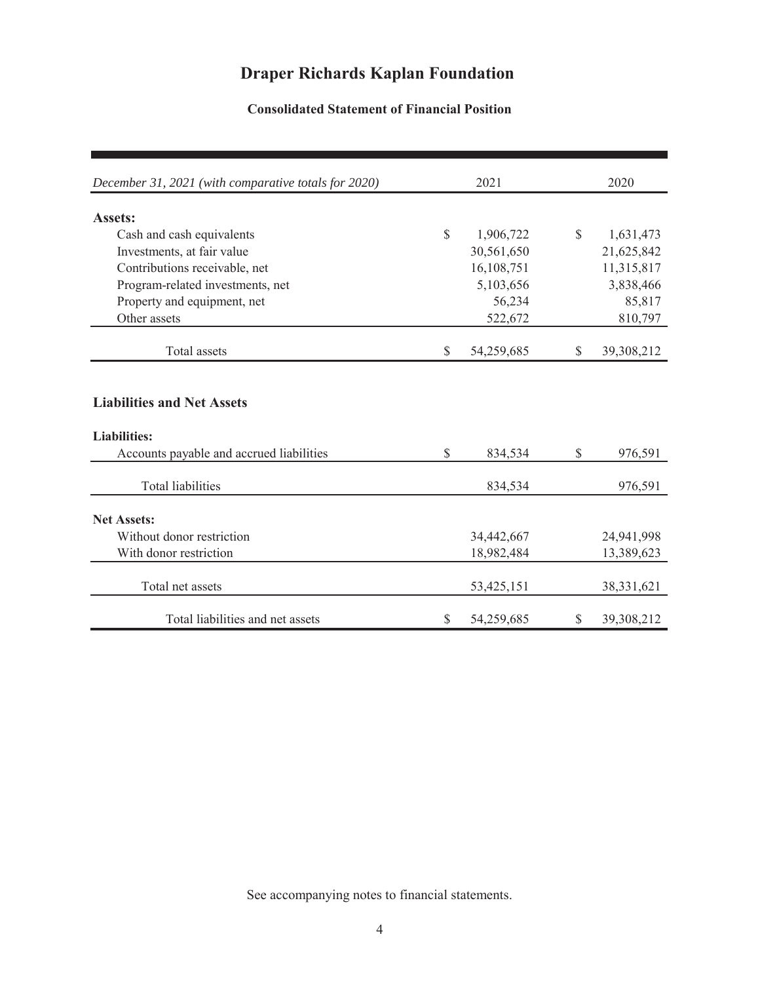### **Consolidated Statement of Financial Position**

| December 31, 2021 (with comparative totals for 2020)                                                 |               | 2021       |              | 2020         |
|------------------------------------------------------------------------------------------------------|---------------|------------|--------------|--------------|
| <b>Assets:</b>                                                                                       |               |            |              |              |
|                                                                                                      | $\mathcal{S}$ |            | $\mathbb{S}$ |              |
| Cash and cash equivalents                                                                            |               | 1,906,722  |              | 1,631,473    |
| Investments, at fair value                                                                           |               | 30,561,650 |              | 21,625,842   |
| Contributions receivable, net                                                                        |               | 16,108,751 |              | 11,315,817   |
| Program-related investments, net                                                                     |               | 5,103,656  |              | 3,838,466    |
| Property and equipment, net                                                                          |               | 56,234     |              | 85,817       |
| Other assets                                                                                         |               | 522,672    |              | 810,797      |
| Total assets                                                                                         | $\mathcal{S}$ | 54,259,685 | S            | 39,308,212   |
| <b>Liabilities and Net Assets</b><br><b>Liabilities:</b><br>Accounts payable and accrued liabilities | \$            | 834,534    | \$           | 976,591      |
| <b>Total liabilities</b>                                                                             |               | 834,534    |              | 976,591      |
| <b>Net Assets:</b>                                                                                   |               |            |              |              |
| Without donor restriction                                                                            |               | 34,442,667 |              | 24,941,998   |
| With donor restriction                                                                               |               | 18,982,484 |              | 13,389,623   |
| Total net assets                                                                                     |               | 53,425,151 |              | 38, 331, 621 |
| Total liabilities and net assets                                                                     | \$            | 54,259,685 | S            | 39,308,212   |

See accompanying notes to financial statements.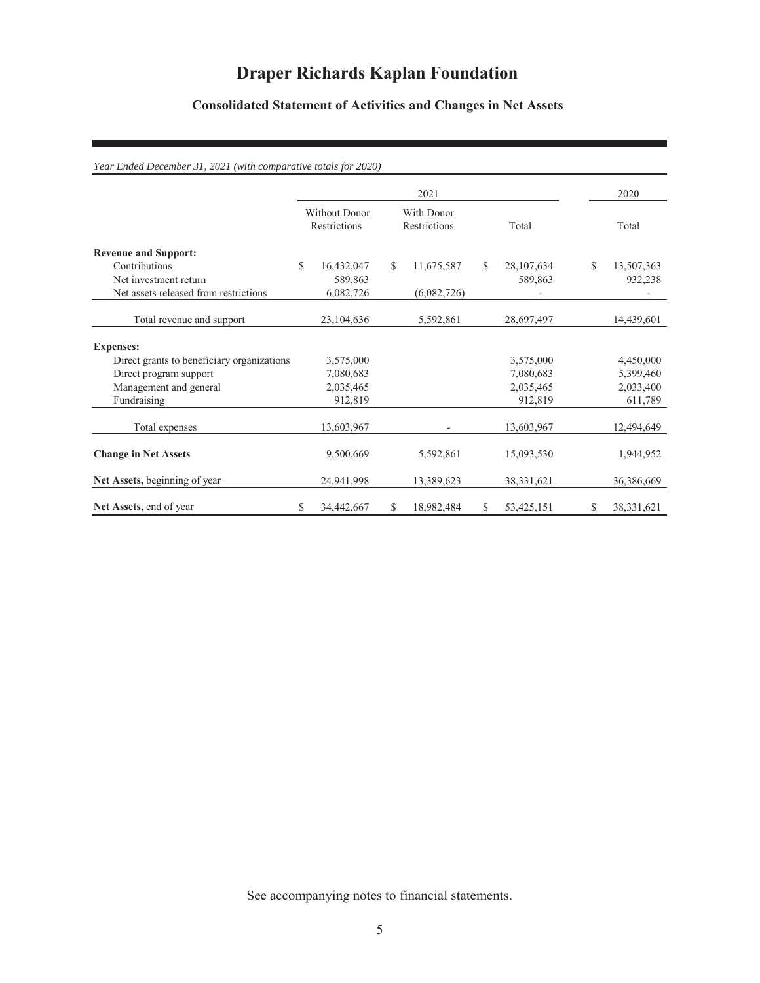### **Consolidated Statement of Activities and Changes in Net Assets**

*Year Ended December 31, 2021 (with comparative totals for 2020)*

|                                            |              |                                      |    | 2021                       |    |              | 2020             |
|--------------------------------------------|--------------|--------------------------------------|----|----------------------------|----|--------------|------------------|
|                                            |              | <b>Without Donor</b><br>Restrictions |    | With Donor<br>Restrictions |    | Total        | Total            |
| <b>Revenue and Support:</b>                |              |                                      |    |                            |    |              |                  |
| Contributions                              | $\mathbb{S}$ | 16,432,047                           | S. | 11,675,587                 | S. | 28, 107, 634 | \$<br>13,507,363 |
| Net investment return                      |              | 589,863                              |    |                            |    | 589,863      | 932,238          |
| Net assets released from restrictions      |              | 6,082,726                            |    | (6,082,726)                |    |              |                  |
| Total revenue and support                  |              | 23,104,636                           |    | 5,592,861                  |    | 28,697,497   | 14,439,601       |
| <b>Expenses:</b>                           |              |                                      |    |                            |    |              |                  |
| Direct grants to beneficiary organizations |              | 3,575,000                            |    |                            |    | 3,575,000    | 4,450,000        |
| Direct program support                     |              | 7,080,683                            |    |                            |    | 7,080,683    | 5,399,460        |
| Management and general                     |              | 2,035,465                            |    |                            |    | 2,035,465    | 2,033,400        |
| Fundraising                                |              | 912,819                              |    |                            |    | 912,819      | 611,789          |
| Total expenses                             |              | 13,603,967                           |    |                            |    | 13,603,967   | 12,494,649       |
| <b>Change in Net Assets</b>                |              | 9,500,669                            |    | 5,592,861                  |    | 15,093,530   | 1,944,952        |
| Net Assets, beginning of year              |              | 24,941,998                           |    | 13,389,623                 |    | 38,331,621   | 36,386,669       |
| Net Assets, end of year                    | S            | 34,442,667                           | \$ | 18,982,484                 | \$ | 53,425,151   | \$<br>38,331,621 |

See accompanying notes to financial statements.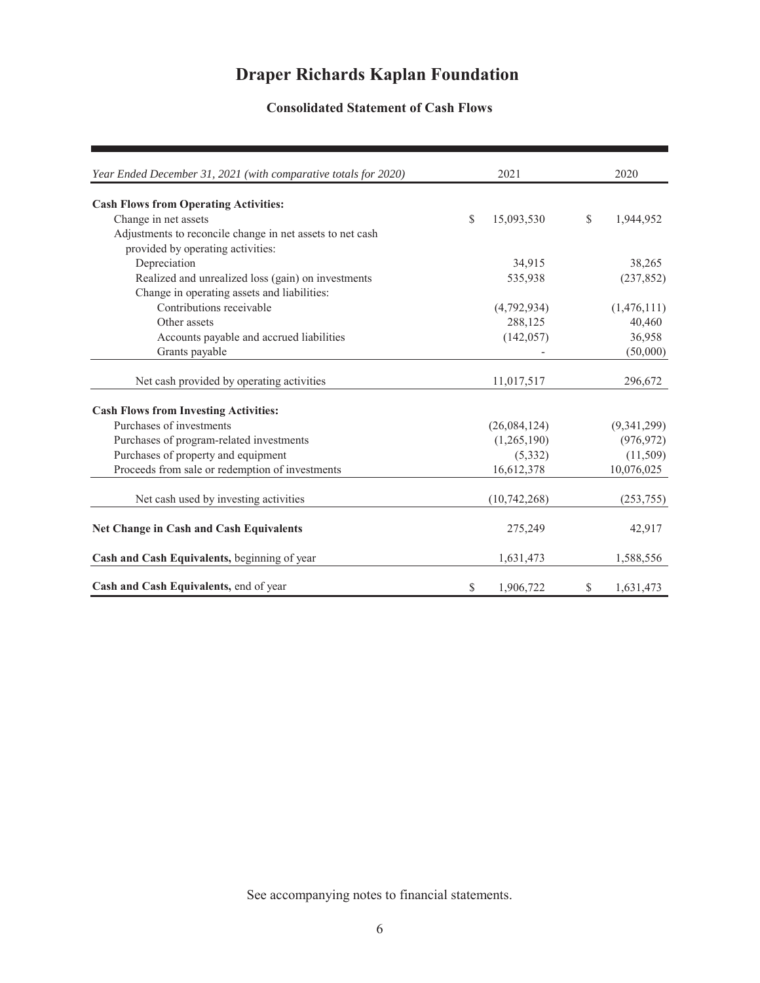### **Consolidated Statement of Cash Flows**

| Year Ended December 31, 2021 (with comparative totals for 2020) | 2021             | 2020            |
|-----------------------------------------------------------------|------------------|-----------------|
| <b>Cash Flows from Operating Activities:</b>                    |                  |                 |
| Change in net assets                                            | \$<br>15,093,530 | \$<br>1,944,952 |
| Adjustments to reconcile change in net assets to net cash       |                  |                 |
| provided by operating activities:                               |                  |                 |
| Depreciation                                                    | 34,915           | 38,265          |
| Realized and unrealized loss (gain) on investments              | 535,938          | (237, 852)      |
| Change in operating assets and liabilities:                     |                  |                 |
| Contributions receivable                                        | (4,792,934)      | (1,476,111)     |
| Other assets                                                    | 288,125          | 40,460          |
| Accounts payable and accrued liabilities                        | (142, 057)       | 36,958          |
| Grants payable                                                  |                  | (50,000)        |
|                                                                 |                  |                 |
| Net cash provided by operating activities                       | 11,017,517       | 296,672         |
| <b>Cash Flows from Investing Activities:</b>                    |                  |                 |
| Purchases of investments                                        | (26,084,124)     | (9,341,299)     |
| Purchases of program-related investments                        | (1,265,190)      | (976, 972)      |
| Purchases of property and equipment                             | (5, 332)         | (11,509)        |
| Proceeds from sale or redemption of investments                 | 16,612,378       | 10,076,025      |
| Net cash used by investing activities                           | (10,742,268)     | (253, 755)      |
| <b>Net Change in Cash and Cash Equivalents</b>                  | 275,249          | 42,917          |
| Cash and Cash Equivalents, beginning of year                    | 1,631,473        | 1,588,556       |
| Cash and Cash Equivalents, end of year                          | \$<br>1,906,722  | \$<br>1,631,473 |

See accompanying notes to financial statements.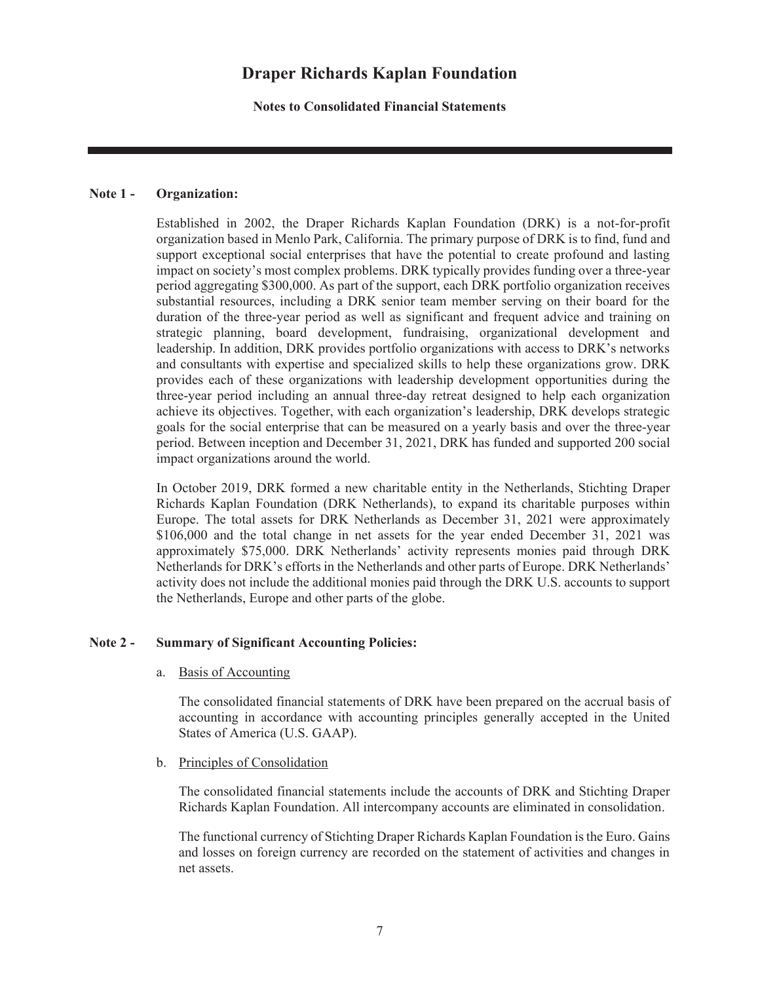**Notes to Consolidated Financial Statements** 

#### **Note 1 - Organization:**

Established in 2002, the Draper Richards Kaplan Foundation (DRK) is a not-for-profit organization based in Menlo Park, California. The primary purpose of DRK is to find, fund and support exceptional social enterprises that have the potential to create profound and lasting impact on society's most complex problems. DRK typically provides funding over a three-year period aggregating \$300,000. As part of the support, each DRK portfolio organization receives substantial resources, including a DRK senior team member serving on their board for the duration of the three-year period as well as significant and frequent advice and training on strategic planning, board development, fundraising, organizational development and leadership. In addition, DRK provides portfolio organizations with access to DRK's networks and consultants with expertise and specialized skills to help these organizations grow. DRK provides each of these organizations with leadership development opportunities during the three-year period including an annual three-day retreat designed to help each organization achieve its objectives. Together, with each organization's leadership, DRK develops strategic goals for the social enterprise that can be measured on a yearly basis and over the three-year period. Between inception and December 31, 2021, DRK has funded and supported 200 social impact organizations around the world.

In October 2019, DRK formed a new charitable entity in the Netherlands, Stichting Draper Richards Kaplan Foundation (DRK Netherlands), to expand its charitable purposes within Europe. The total assets for DRK Netherlands as December 31, 2021 were approximately \$106,000 and the total change in net assets for the year ended December 31, 2021 was approximately \$75,000. DRK Netherlands' activity represents monies paid through DRK Netherlands for DRK's efforts in the Netherlands and other parts of Europe. DRK Netherlands' activity does not include the additional monies paid through the DRK U.S. accounts to support the Netherlands, Europe and other parts of the globe.

#### **Note 2 - Summary of Significant Accounting Policies:**

#### a. Basis of Accounting

The consolidated financial statements of DRK have been prepared on the accrual basis of accounting in accordance with accounting principles generally accepted in the United States of America (U.S. GAAP).

#### b. Principles of Consolidation

The consolidated financial statements include the accounts of DRK and Stichting Draper Richards Kaplan Foundation. All intercompany accounts are eliminated in consolidation.

The functional currency of Stichting Draper Richards Kaplan Foundation is the Euro. Gains and losses on foreign currency are recorded on the statement of activities and changes in net assets.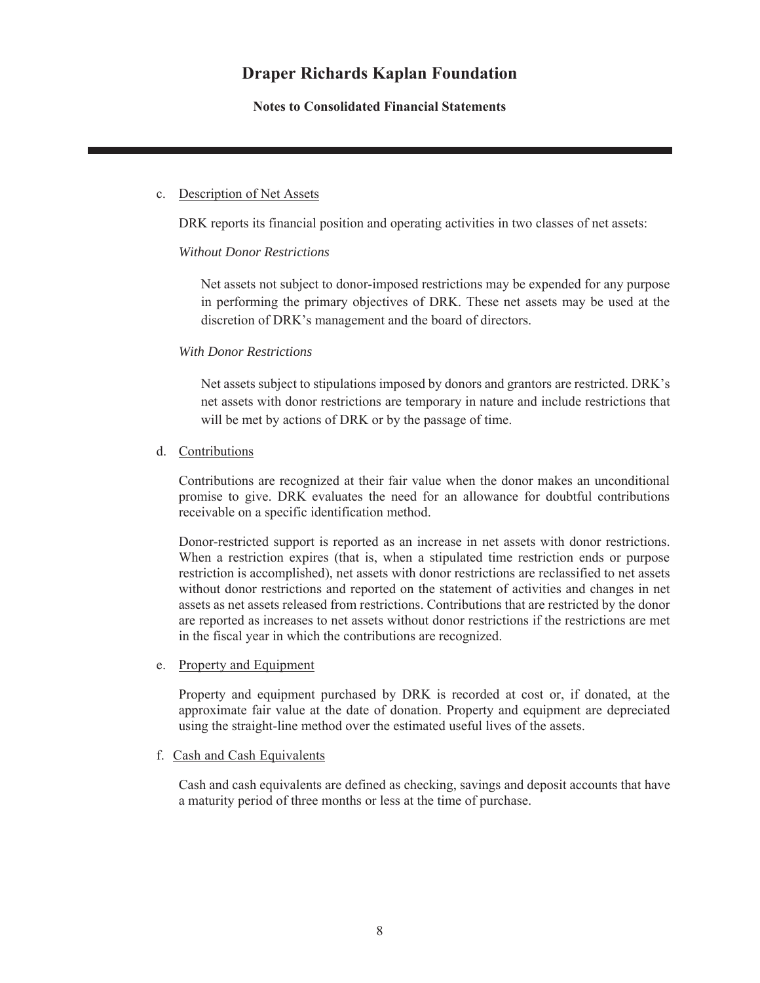**Notes to Consolidated Financial Statements** 

#### c. Description of Net Assets

DRK reports its financial position and operating activities in two classes of net assets:

#### *Without Donor Restrictions*

Net assets not subject to donor-imposed restrictions may be expended for any purpose in performing the primary objectives of DRK. These net assets may be used at the discretion of DRK's management and the board of directors.

#### *With Donor Restrictions*

Net assets subject to stipulations imposed by donors and grantors are restricted. DRK's net assets with donor restrictions are temporary in nature and include restrictions that will be met by actions of DRK or by the passage of time.

#### d. Contributions

Contributions are recognized at their fair value when the donor makes an unconditional promise to give. DRK evaluates the need for an allowance for doubtful contributions receivable on a specific identification method.

Donor-restricted support is reported as an increase in net assets with donor restrictions. When a restriction expires (that is, when a stipulated time restriction ends or purpose restriction is accomplished), net assets with donor restrictions are reclassified to net assets without donor restrictions and reported on the statement of activities and changes in net assets as net assets released from restrictions. Contributions that are restricted by the donor are reported as increases to net assets without donor restrictions if the restrictions are met in the fiscal year in which the contributions are recognized.

#### e. Property and Equipment

Property and equipment purchased by DRK is recorded at cost or, if donated, at the approximate fair value at the date of donation. Property and equipment are depreciated using the straight-line method over the estimated useful lives of the assets.

#### f. Cash and Cash Equivalents

Cash and cash equivalents are defined as checking, savings and deposit accounts that have a maturity period of three months or less at the time of purchase.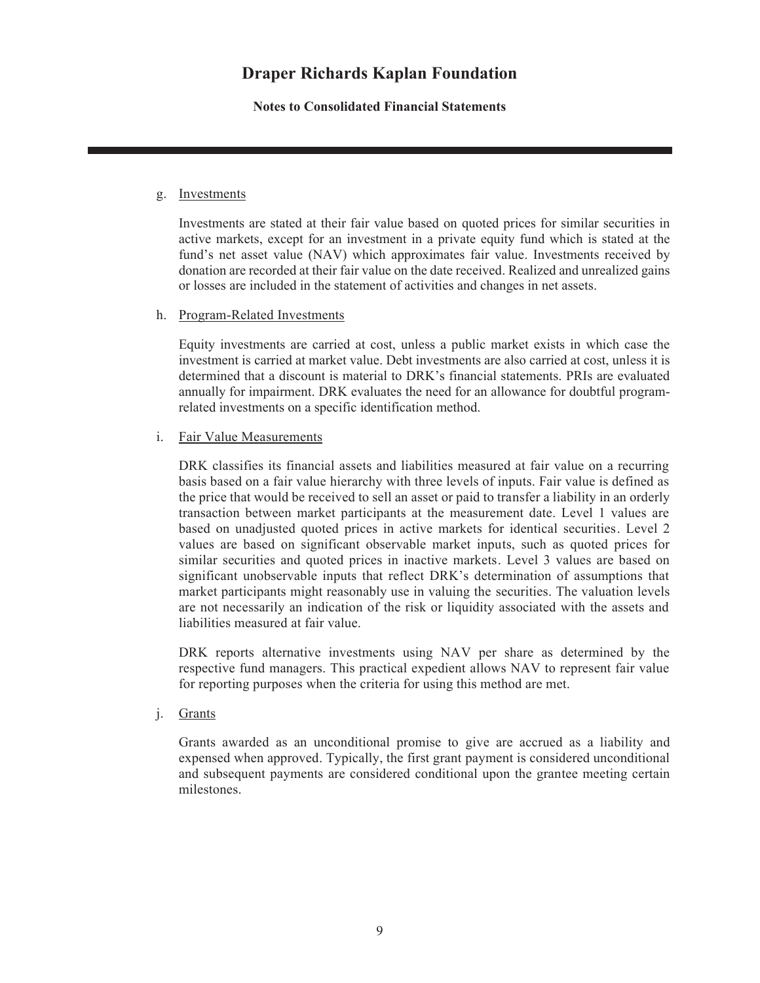**Notes to Consolidated Financial Statements** 

#### g. Investments

Investments are stated at their fair value based on quoted prices for similar securities in active markets, except for an investment in a private equity fund which is stated at the fund's net asset value (NAV) which approximates fair value. Investments received by donation are recorded at their fair value on the date received. Realized and unrealized gains or losses are included in the statement of activities and changes in net assets.

#### h. Program-Related Investments

Equity investments are carried at cost, unless a public market exists in which case the investment is carried at market value. Debt investments are also carried at cost, unless it is determined that a discount is material to DRK's financial statements. PRIs are evaluated annually for impairment. DRK evaluates the need for an allowance for doubtful programrelated investments on a specific identification method.

#### i. Fair Value Measurements

DRK classifies its financial assets and liabilities measured at fair value on a recurring basis based on a fair value hierarchy with three levels of inputs. Fair value is defined as the price that would be received to sell an asset or paid to transfer a liability in an orderly transaction between market participants at the measurement date. Level 1 values are based on unadjusted quoted prices in active markets for identical securities. Level 2 values are based on significant observable market inputs, such as quoted prices for similar securities and quoted prices in inactive markets. Level 3 values are based on significant unobservable inputs that reflect DRK's determination of assumptions that market participants might reasonably use in valuing the securities. The valuation levels are not necessarily an indication of the risk or liquidity associated with the assets and liabilities measured at fair value.

DRK reports alternative investments using NAV per share as determined by the respective fund managers. This practical expedient allows NAV to represent fair value for reporting purposes when the criteria for using this method are met.

j. Grants

Grants awarded as an unconditional promise to give are accrued as a liability and expensed when approved. Typically, the first grant payment is considered unconditional and subsequent payments are considered conditional upon the grantee meeting certain milestones.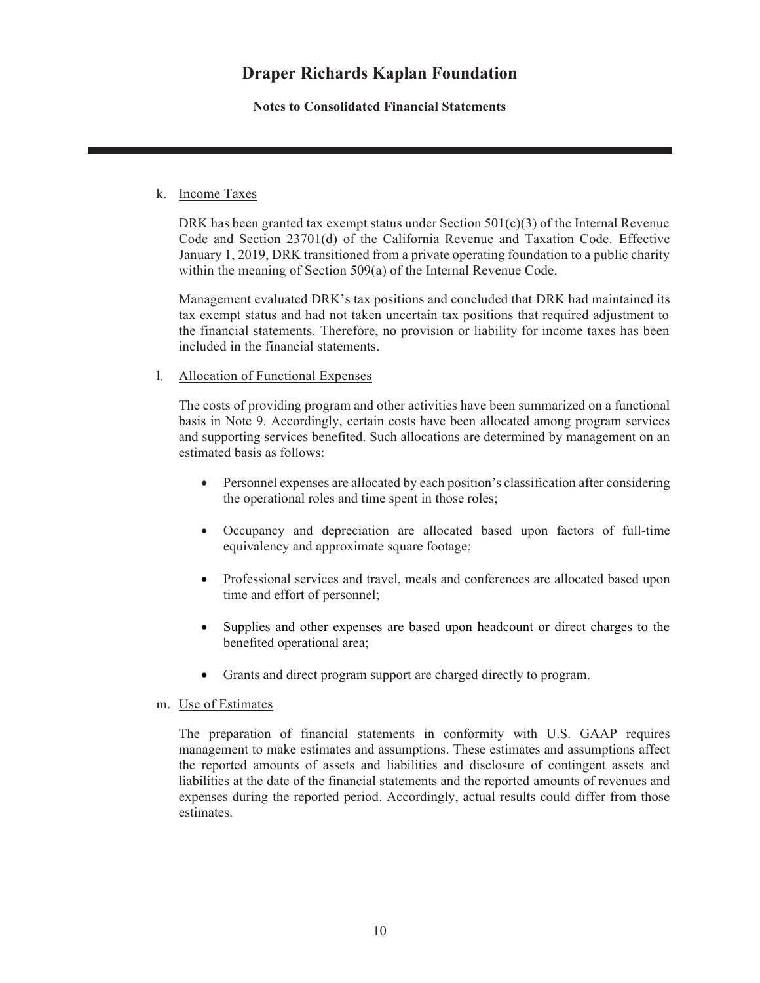**Notes to Consolidated Financial Statements** 

#### k. Income Taxes

DRK has been granted tax exempt status under Section  $501(c)(3)$  of the Internal Revenue Code and Section 23701(d) of the California Revenue and Taxation Code. Effective January 1, 2019, DRK transitioned from a private operating foundation to a public charity within the meaning of Section 509(a) of the Internal Revenue Code.

Management evaluated DRK's tax positions and concluded that DRK had maintained its tax exempt status and had not taken uncertain tax positions that required adjustment to the financial statements. Therefore, no provision or liability for income taxes has been included in the financial statements.

#### l. Allocation of Functional Expenses

The costs of providing program and other activities have been summarized on a functional basis in Note 9. Accordingly, certain costs have been allocated among program services and supporting services benefited. Such allocations are determined by management on an estimated basis as follows:

- $\bullet$  Personnel expenses are allocated by each position's classification after considering the operational roles and time spent in those roles;
- x Occupancy and depreciation are allocated based upon factors of full-time equivalency and approximate square footage;
- Professional services and travel, meals and conferences are allocated based upon time and effort of personnel;
- Supplies and other expenses are based upon headcount or direct charges to the benefited operational area;
- Grants and direct program support are charged directly to program.

#### m. Use of Estimates

The preparation of financial statements in conformity with U.S. GAAP requires management to make estimates and assumptions. These estimates and assumptions affect the reported amounts of assets and liabilities and disclosure of contingent assets and liabilities at the date of the financial statements and the reported amounts of revenues and expenses during the reported period. Accordingly, actual results could differ from those estimates.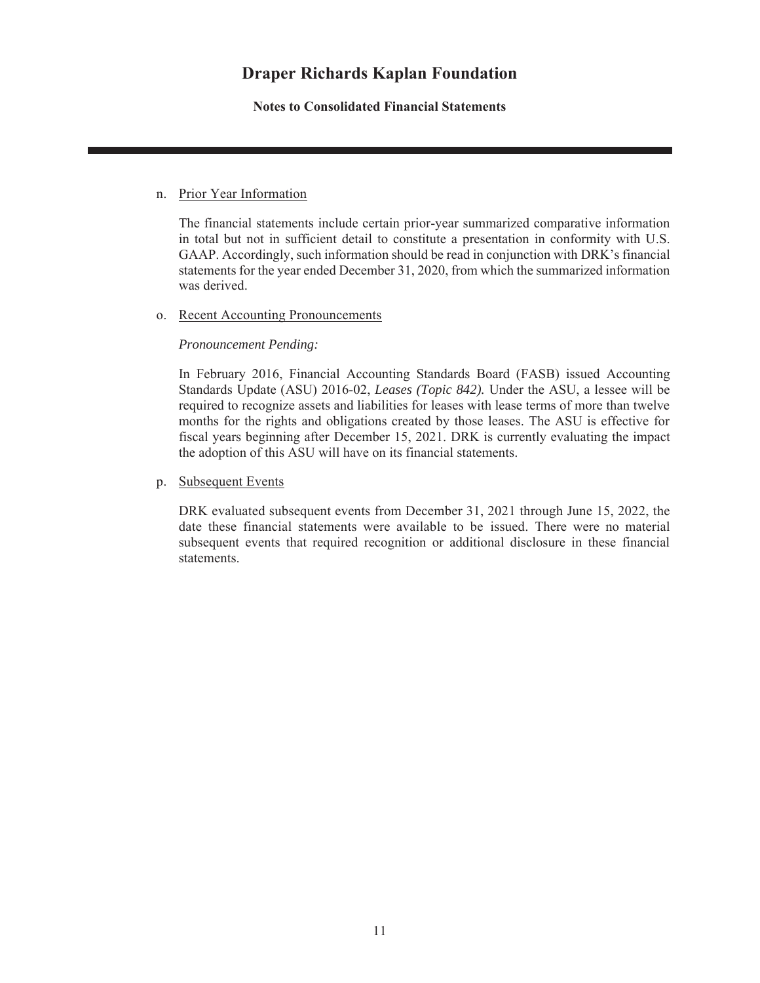**Notes to Consolidated Financial Statements** 

#### n. Prior Year Information

The financial statements include certain prior-year summarized comparative information in total but not in sufficient detail to constitute a presentation in conformity with U.S. GAAP. Accordingly, such information should be read in conjunction with DRK's financial statements for the year ended December 31, 2020, from which the summarized information was derived.

#### o. Recent Accounting Pronouncements

#### *Pronouncement Pending:*

In February 2016, Financial Accounting Standards Board (FASB) issued Accounting Standards Update (ASU) 2016-02, *Leases (Topic 842).* Under the ASU, a lessee will be required to recognize assets and liabilities for leases with lease terms of more than twelve months for the rights and obligations created by those leases. The ASU is effective for fiscal years beginning after December 15, 2021. DRK is currently evaluating the impact the adoption of this ASU will have on its financial statements.

#### p. Subsequent Events

DRK evaluated subsequent events from December 31, 2021 through June 15, 2022, the date these financial statements were available to be issued. There were no material subsequent events that required recognition or additional disclosure in these financial statements.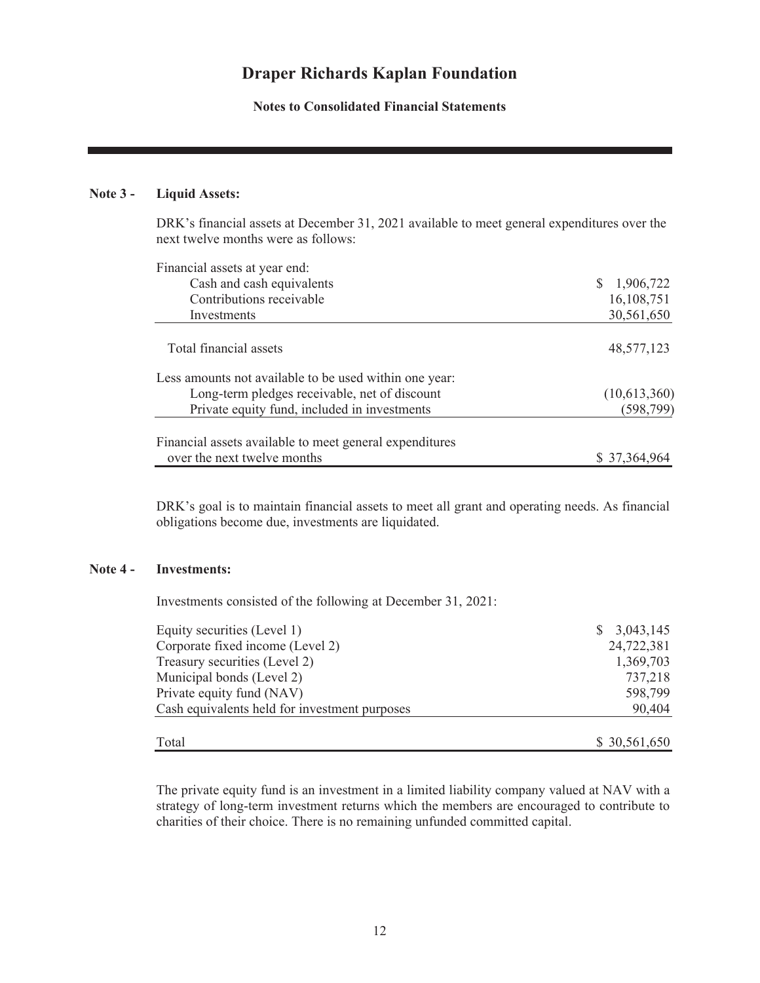**Notes to Consolidated Financial Statements** 

#### **Note 3 - Liquid Assets:**

DRK's financial assets at December 31, 2021 available to meet general expenditures over the next twelve months were as follows:

| Financial assets at year end:                           |                 |
|---------------------------------------------------------|-----------------|
| Cash and cash equivalents                               | S.<br>1,906,722 |
| Contributions receivable                                | 16,108,751      |
| Investments                                             | 30,561,650      |
| Total financial assets                                  | 48,577,123      |
| Less amounts not available to be used within one year:  |                 |
| Long-term pledges receivable, net of discount           | (10,613,360)    |
| Private equity fund, included in investments            | (598, 799)      |
| Financial assets available to meet general expenditures |                 |
| over the next twelve months                             | \$37,364,964    |

DRK's goal is to maintain financial assets to meet all grant and operating needs. As financial obligations become due, investments are liquidated.

#### **Note 4 - Investments:**

Investments consisted of the following at December 31, 2021:

| Equity securities (Level 1)                   | 3,043,145     |
|-----------------------------------------------|---------------|
| Corporate fixed income (Level 2)              | 24,722,381    |
| Treasury securities (Level 2)                 | 1,369,703     |
| Municipal bonds (Level 2)                     | 737,218       |
| Private equity fund (NAV)                     | 598,799       |
| Cash equivalents held for investment purposes | 90,404        |
|                                               |               |
| Total                                         | \$ 30,561,650 |

The private equity fund is an investment in a limited liability company valued at NAV with a strategy of long-term investment returns which the members are encouraged to contribute to charities of their choice. There is no remaining unfunded committed capital.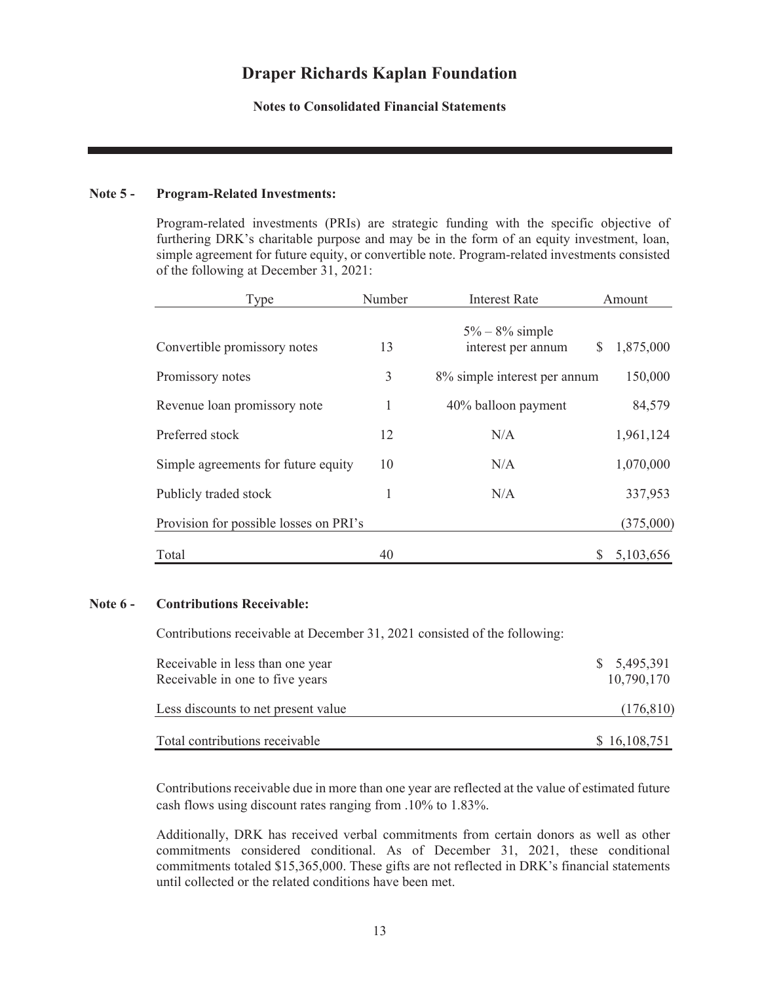**Notes to Consolidated Financial Statements** 

#### **Note 5 - Program-Related Investments:**

Program-related investments (PRIs) are strategic funding with the specific objective of furthering DRK's charitable purpose and may be in the form of an equity investment, loan, simple agreement for future equity, or convertible note. Program-related investments consisted of the following at December 31, 2021:

| Type                                   | Number | <b>Interest Rate</b>                                     | Amount    |  |
|----------------------------------------|--------|----------------------------------------------------------|-----------|--|
| Convertible promissory notes           | 13     | $5\% - 8\%$ simple<br>interest per annum<br>$\mathbb{S}$ | 1,875,000 |  |
| Promissory notes                       | 3      | 8% simple interest per annum                             | 150,000   |  |
| Revenue loan promissory note           | 1      | 40% balloon payment                                      | 84,579    |  |
| Preferred stock                        | 12     | N/A                                                      | 1,961,124 |  |
| Simple agreements for future equity    | 10     | N/A                                                      | 1,070,000 |  |
| Publicly traded stock                  | 1      | N/A                                                      | 337,953   |  |
| Provision for possible losses on PRI's |        |                                                          | (375,000) |  |
| Total                                  | 40     |                                                          | 5,103,656 |  |

#### **Note 6 - Contributions Receivable:**

Contributions receivable at December 31, 2021 consisted of the following:

| Receivable in less than one year<br>Receivable in one to five years | \$5,495,391<br>10,790,170 |
|---------------------------------------------------------------------|---------------------------|
| Less discounts to net present value                                 | (176, 810)                |
| Total contributions receivable                                      | \$16,108,751              |

Contributions receivable due in more than one year are reflected at the value of estimated future cash flows using discount rates ranging from .10% to 1.83%.

Additionally, DRK has received verbal commitments from certain donors as well as other commitments considered conditional. As of December 31, 2021, these conditional commitments totaled \$15,365,000. These gifts are not reflected in DRK's financial statements until collected or the related conditions have been met.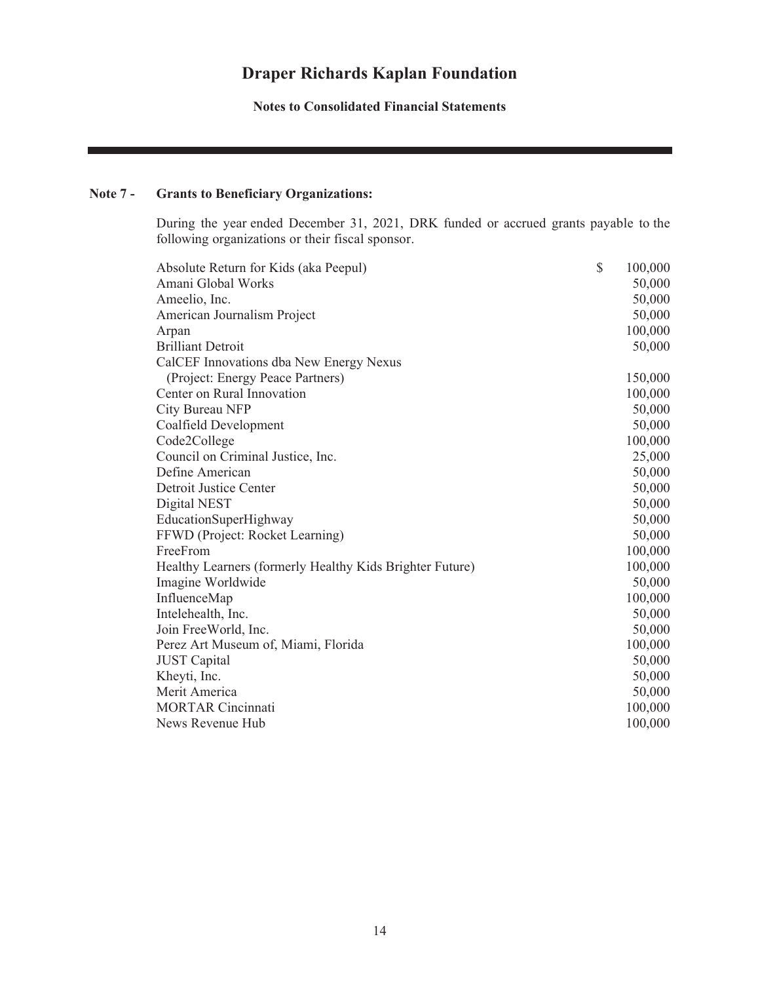**Notes to Consolidated Financial Statements** 

### **Note 7 - Grants to Beneficiary Organizations:**

During the year ended December 31, 2021, DRK funded or accrued grants payable to the following organizations or their fiscal sponsor.

| Absolute Return for Kids (aka Peepul)                    | \$<br>100,000 |
|----------------------------------------------------------|---------------|
| Amani Global Works                                       | 50,000        |
| Ameelio, Inc.                                            | 50,000        |
| American Journalism Project                              | 50,000        |
| Arpan                                                    | 100,000       |
| <b>Brilliant Detroit</b>                                 | 50,000        |
| CalCEF Innovations dba New Energy Nexus                  |               |
| (Project: Energy Peace Partners)                         | 150,000       |
| Center on Rural Innovation                               | 100,000       |
| City Bureau NFP                                          | 50,000        |
| Coalfield Development                                    | 50,000        |
| Code2College                                             | 100,000       |
| Council on Criminal Justice, Inc.                        | 25,000        |
| Define American                                          | 50,000        |
| <b>Detroit Justice Center</b>                            | 50,000        |
| Digital NEST                                             | 50,000        |
| EducationSuperHighway                                    | 50,000        |
| FFWD (Project: Rocket Learning)                          | 50,000        |
| FreeFrom                                                 | 100,000       |
| Healthy Learners (formerly Healthy Kids Brighter Future) | 100,000       |
| Imagine Worldwide                                        | 50,000        |
| InfluenceMap                                             | 100,000       |
| Intelehealth, Inc.                                       | 50,000        |
| Join FreeWorld, Inc.                                     | 50,000        |
| Perez Art Museum of, Miami, Florida                      | 100,000       |
| <b>JUST</b> Capital                                      | 50,000        |
| Kheyti, Inc.                                             | 50,000        |
| Merit America                                            | 50,000        |
| <b>MORTAR Cincinnati</b>                                 | 100,000       |
| News Revenue Hub                                         | 100,000       |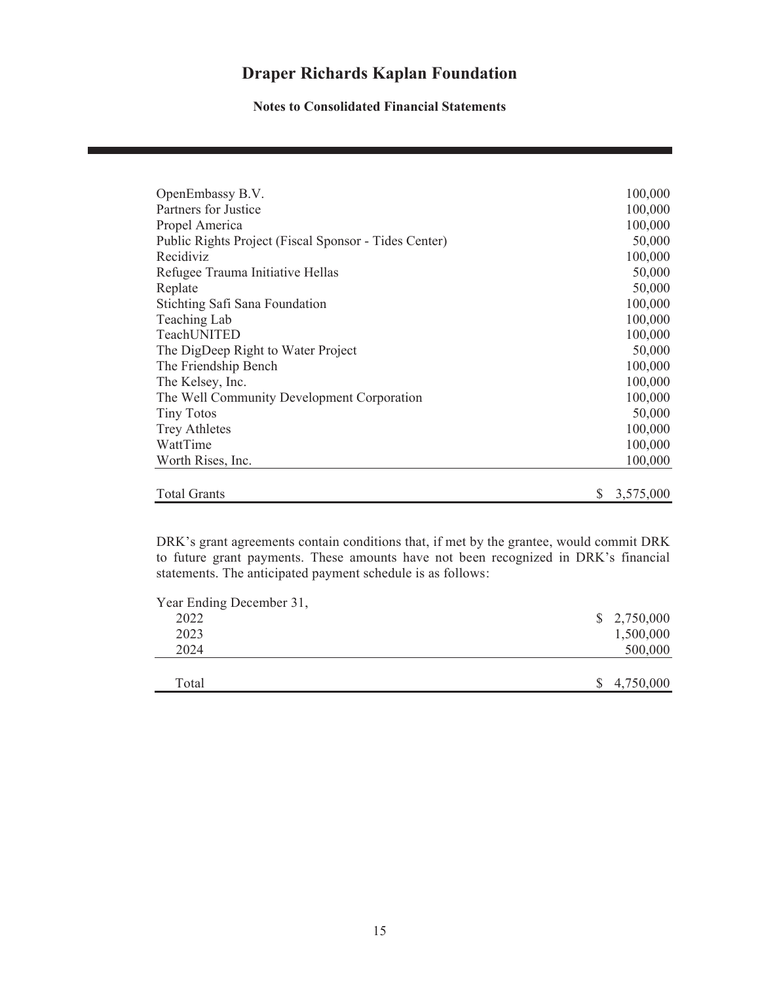**Notes to Consolidated Financial Statements** 

| OpenEmbassy B.V.                                      | 100,000        |
|-------------------------------------------------------|----------------|
| Partners for Justice                                  | 100,000        |
| Propel America                                        | 100,000        |
| Public Rights Project (Fiscal Sponsor - Tides Center) | 50,000         |
| Recidiviz                                             | 100,000        |
| Refugee Trauma Initiative Hellas                      | 50,000         |
| Replate                                               | 50,000         |
| Stichting Safi Sana Foundation                        | 100,000        |
| Teaching Lab                                          | 100,000        |
| TeachUNITED                                           | 100,000        |
| The DigDeep Right to Water Project                    | 50,000         |
| The Friendship Bench                                  | 100,000        |
| The Kelsey, Inc.                                      | 100,000        |
| The Well Community Development Corporation            | 100,000        |
| <b>Tiny Totos</b>                                     | 50,000         |
| <b>Trey Athletes</b>                                  | 100,000        |
| WattTime                                              | 100,000        |
| Worth Rises, Inc.                                     | 100,000        |
| <b>Total Grants</b>                                   | 3,575,000<br>S |

DRK's grant agreements contain conditions that, if met by the grantee, would commit DRK to future grant payments. These amounts have not been recognized in DRK's financial statements. The anticipated payment schedule is as follows:

| Year Ending December 31, |                 |
|--------------------------|-----------------|
| 2022                     | \$2,750,000     |
| 2023                     | 1,500,000       |
| 2024                     | 500,000         |
|                          |                 |
| Total                    | 4,750,000<br>S. |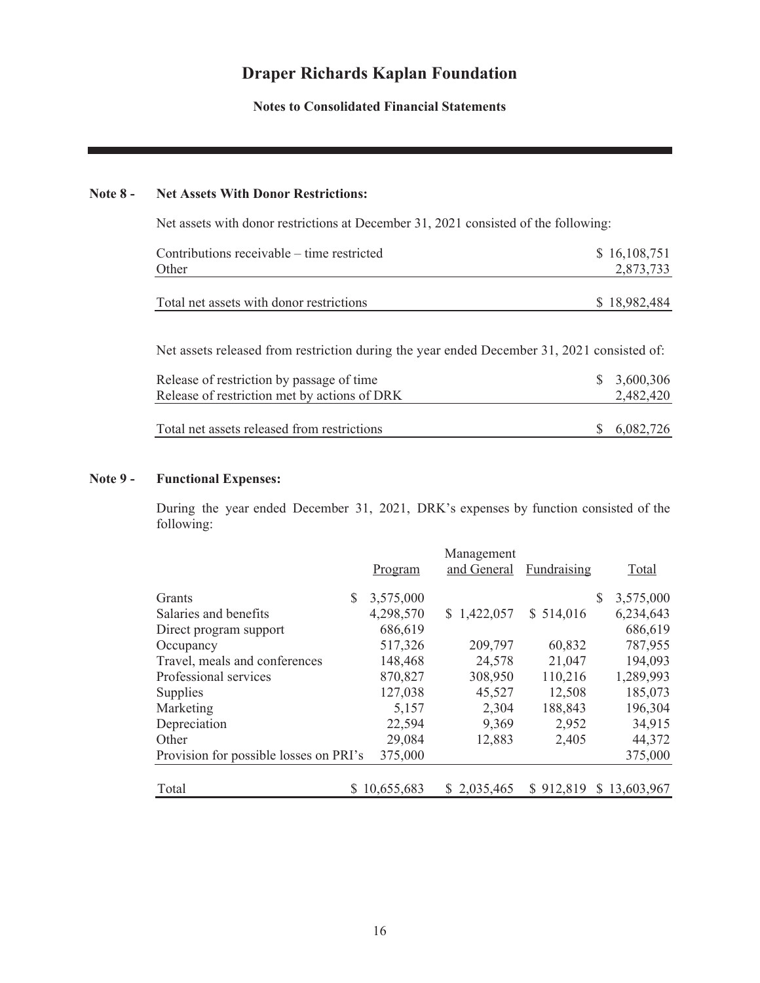**Notes to Consolidated Financial Statements** 

#### **Note 8 - Net Assets With Donor Restrictions:**

Net assets with donor restrictions at December 31, 2021 consisted of the following:

| Contributions receivable – time restricted                                                 | \$16,108,751 |
|--------------------------------------------------------------------------------------------|--------------|
| Other                                                                                      | 2,873,733    |
|                                                                                            |              |
| Total net assets with donor restrictions                                                   | \$18,982,484 |
|                                                                                            |              |
| Net assets released from restriction during the year ended December 31, 2021 consisted of: |              |
| Release of restriction by passage of time                                                  | 3,600,306    |
| Release of restriction met by actions of DRK                                               | 2,482,420    |

Total net assets released from restrictions \$ 6,082,726

#### **Note 9 - Functional Expenses:**

During the year ended December 31, 2021, DRK's expenses by function consisted of the following:

|                                        |   | Program    | Management<br>and General | Fundraising | Total           |
|----------------------------------------|---|------------|---------------------------|-------------|-----------------|
| Grants                                 | S | 3,575,000  |                           |             | \$<br>3,575,000 |
| Salaries and benefits                  |   | 4,298,570  | \$1,422,057               | \$ 514,016  | 6,234,643       |
| Direct program support                 |   | 686,619    |                           |             | 686,619         |
| Occupancy                              |   | 517,326    | 209,797                   | 60,832      | 787,955         |
| Travel, meals and conferences          |   | 148,468    | 24,578                    | 21,047      | 194,093         |
| Professional services                  |   | 870,827    | 308,950                   | 110,216     | 1,289,993       |
| Supplies                               |   | 127,038    | 45,527                    | 12,508      | 185,073         |
| Marketing                              |   | 5,157      | 2,304                     | 188,843     | 196,304         |
| Depreciation                           |   | 22,594     | 9,369                     | 2,952       | 34,915          |
| Other                                  |   | 29,084     | 12,883                    | 2,405       | 44,372          |
| Provision for possible losses on PRI's |   | 375,000    |                           |             | 375,000         |
| Total                                  |   | 10,655,683 | \$2,035,465               | \$912,819   | \$13,603,967    |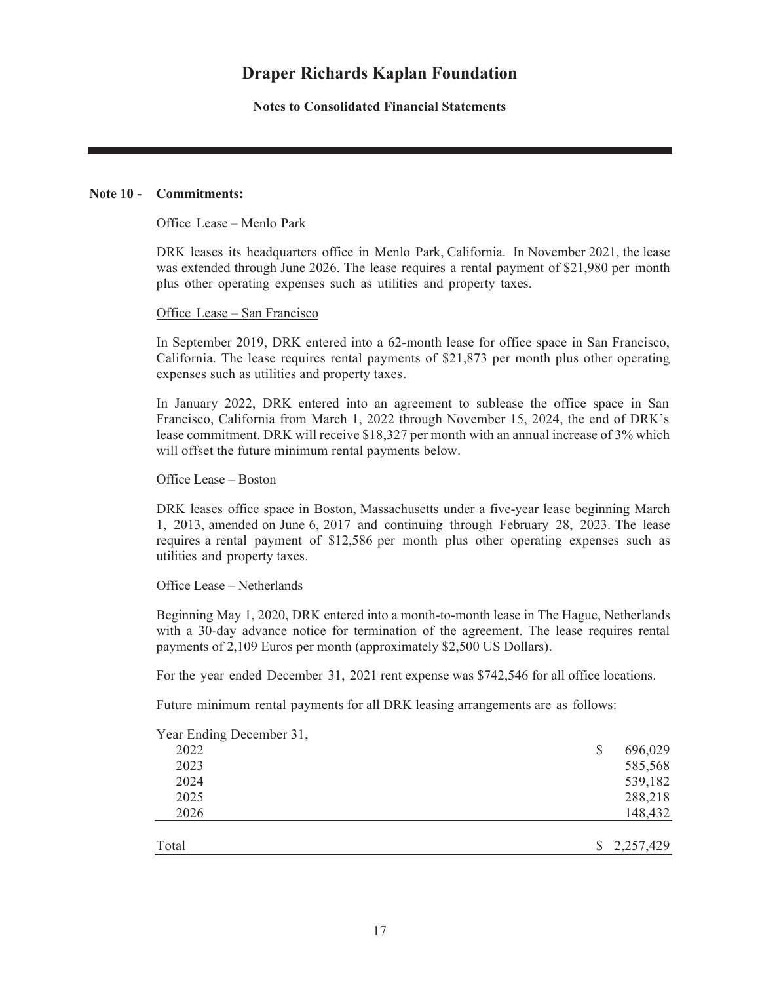**Notes to Consolidated Financial Statements** 

#### **Note 10 - Commitments:**

#### Office Lease – Menlo Park

DRK leases its headquarters office in Menlo Park, California. In November 2021, the lease was extended through June 2026. The lease requires a rental payment of \$21,980 per month plus other operating expenses such as utilities and property taxes.

#### Office Lease – San Francisco

In September 2019, DRK entered into a 62-month lease for office space in San Francisco, California. The lease requires rental payments of \$21,873 per month plus other operating expenses such as utilities and property taxes.

In January 2022, DRK entered into an agreement to sublease the office space in San Francisco, California from March 1, 2022 through November 15, 2024, the end of DRK's lease commitment. DRK will receive \$18,327 per month with an annual increase of 3% which will offset the future minimum rental payments below.

#### Office Lease – Boston

DRK leases office space in Boston, Massachusetts under a five-year lease beginning March 1, 2013, amended on June 6, 2017 and continuing through February 28, 2023. The lease requires a rental payment of \$12,586 per month plus other operating expenses such as utilities and property taxes.

#### Office Lease – Netherlands

Beginning May 1, 2020, DRK entered into a month-to-month lease in The Hague, Netherlands with a 30-day advance notice for termination of the agreement. The lease requires rental payments of 2,109 Euros per month (approximately \$2,500 US Dollars).

For the year ended December 31, 2021 rent expense was \$742,546 for all office locations.

Future minimum rental payments for all DRK leasing arrangements are as follows:

Year Ending December 31,

| $-$<br>2022 | 696,029<br>\$ |
|-------------|---------------|
| 2023        | 585,568       |
| 2024        | 539,182       |
| 2025        | 288,218       |
| 2026        | 148,432       |
|             |               |
| Total       | \$2,257,429   |